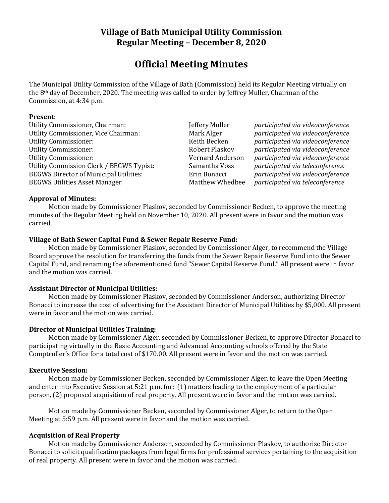## **Village of Bath Municipal Utility Commission Regular Meeting – December 8, 2020**

# **Official Meeting Minutes**

The Municipal Utility Commission of the Village of Bath (Commission) held its Regular Meeting virtually on the 8th day of December, 2020. The meeting was called to order by Jeffrey Muller, Chairman of the Commission, at 4:34 p.m.

#### **Present:**

Utility Commissioner, Chairman: Jeffery Muller *participated via videoconference* Utility Commissioner, Vice Chairman: Mark Alger *participated via videoconference* Utility Commissioner: Keith Becken *participated via videoconference* Utility Commissioner: Robert Plaskov *participated via videoconference* Utility Commissioner: Vernard Anderson *participated via videoconference* Utility Commission Clerk / BEGWS Typist: Samantha Voss *participated via teleconference* BEGWS Director of Municipal Utilities: Erin Bonacci *participated via videoconference* BEGWS Utilities Asset Manager Matthew Whedbee *participated via teleconference*

#### **Approval of Minutes:**

Motion made by Commissioner Plaskov, seconded by Commissioner Becken, to approve the meeting minutes of the Regular Meeting held on November 10, 2020. All present were in favor and the motion was carried.

#### **Village of Bath Sewer Capital Fund & Sewer Repair Reserve Fund:**

Motion made by Commissioner Plaskov, seconded by Commissioner Alger, to recommend the Village Board approve the resolution for transferring the funds from the Sewer Repair Reserve Fund into the Sewer Capital Fund, and renaming the aforementioned fund "Sewer Capital Reserve Fund." All present were in favor and the motion was carried.

### **Assistant Director of Municipal Utilities:**

Motion made by Commissioner Plaskov, seconded by Commissioner Anderson, authorizing Director Bonacci to increase the cost of advertising for the Assistant Director of Municipal Utilities by \$5,000. All present were in favor and the motion was carried.

#### **Director of Municipal Utilities Training:**

Motion made by Commissioner Alger, seconded by Commissioner Becken, to approve Director Bonacci to participating virtually in the Basic Accounting and Advanced Accounting schools offered by the State Comptroller's Office for a total cost of \$170.00. All present were in favor and the motion was carried.

#### **Executive Session:**

Motion made by Commissioner Becken, seconded by Commissioner Alger, to leave the Open Meeting and enter into Executive Session at 5:21 p.m. for: (1) matters leading to the employment of a particular person, (2) proposed acquisition of real property. All present were in favor and the motion was carried.

Motion made by Commissioner Becken, seconded by Commissioner Alger, to return to the Open Meeting at 5:59 p.m. All present were in favor and the motion was carried.

### **Acquisition of Real Property**

Motion made by Commissioner Anderson, seconded by Commissioner Plaskov, to authorize Director Bonacci to solicit qualification packages from legal firms for professional services pertaining to the acquisition of real property. All present were in favor and the motion was carried.